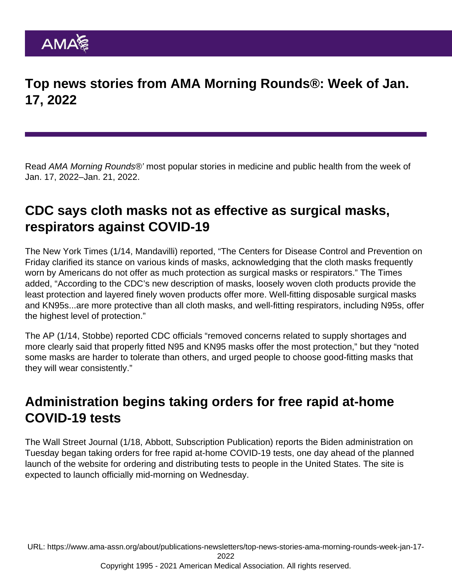Top news stories from AMA Morning Rounds®: Week of Jan. 17, 2022

Read AMA Morning Rounds®' most popular stories in medicine and public health from the week of Jan. 17, 2022–Jan. 21, 2022.

## CDC says cloth masks not as effective as surgical masks, respirators against COVID-19

The [New York Times](https://www.nytimes.com/2022/01/14/health/cloth-masks-covid-cdc.html) (1/14, Mandavilli) reported, "The Centers for Disease Control and Prevention on Friday clarified its stance on various kinds of masks, acknowledging that the cloth masks frequently worn by Americans do not offer as much protection as surgical masks or respirators." The Times added, "According to the CDC's new description of masks, loosely woven cloth products provide the least protection and layered finely woven products offer more. Well-fitting disposable surgical masks and KN95s...are more protective than all cloth masks, and well-fitting respirators, including N95s, offer the highest level of protection."

The [AP](https://apnews.com/article/coronavirus-pandemic-science-health-centers-for-disease-control-and-prevention-6bfb723414b51749ba7ed01d24f7976e) (1/14, Stobbe) reported CDC officials "removed concerns related to supply shortages and more clearly said that properly fitted N95 and KN95 masks offer the most protection," but they "noted some masks are harder to tolerate than others, and urged people to choose good-fitting masks that they will wear consistently."

#### Administration begins taking orders for free rapid at-home COVID-19 tests

The [Wall Street Journal](https://www.wsj.com/articles/biden-administration-starts-taking-orders-for-free-covid-19-tests-11642530639) (1/18, Abbott, Subscription Publication) reports the Biden administration on Tuesday began taking orders for free rapid at-home COVID-19 tests, one day ahead of the planned launch of the website for ordering and distributing tests to people in the United States. The site is expected to launch officially mid-morning on Wednesday.

URL: [https://www.ama-assn.org/about/publications-newsletters/top-news-stories-ama-morning-rounds-week-jan-17-](https://www.ama-assn.org/about/publications-newsletters/top-news-stories-ama-morning-rounds-week-jan-17-2022)

[2022](https://www.ama-assn.org/about/publications-newsletters/top-news-stories-ama-morning-rounds-week-jan-17-2022)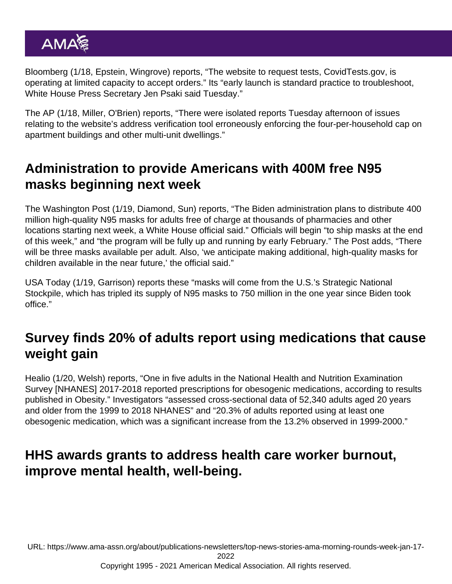[Bloomberg](https://www.bloomberg.com/news/articles/2022-01-18/biden-team-opens-covid-test-orders-online-to-prepare-for-launch?srnd=politics-vp) (1/18, Epstein, Wingrove) reports, "The website to request tests, CovidTests.gov, is operating at limited capacity to accept orders." Its "early launch is standard practice to troubleshoot, White House Press Secretary Jen Psaki said Tuesday."

The [AP](https://apnews.com/article/biden-government-at-home-covid-tests-e98c4a7a4ee340345a5786c4c407c5fb) (1/18, Miller, O'Brien) reports, "There were isolated reports Tuesday afternoon of issues relating to the website's address verification tool erroneously enforcing the four-per-household cap on apartment buildings and other multi-unit dwellings."

# Administration to provide Americans with 400M free N95 masks beginning next week

The [Washington Post](https://www.washingtonpost.com/health/2022/01/19/free-n95-masks/) (1/19, Diamond, Sun) reports, "The Biden administration plans to distribute 400 million high-quality N95 masks for adults free of charge at thousands of pharmacies and other locations starting next week, a White House official said." Officials will begin "to ship masks at the end of this week," and "the program will be fully up and running by early February." The Post adds, "There will be three masks available per adult. Also, 'we anticipate making additional, high-quality masks for children available in the near future,' the official said."

[USA Today](https://www.usatoday.com/story/news/politics/2022/01/19/covid-biden-make-400-million-n-95-masks-available-free/6570934001/) (1/19, Garrison) reports these "masks will come from the U.S.'s Strategic National Stockpile, which has tripled its supply of N95 masks to 750 million in the one year since Biden took office."

## Survey finds 20% of adults report using medications that cause weight gain

[Healio](https://www.healio.com/news/endocrinology/20220119/20-of-adults-use-medications-that-cause-weight-gain) (1/20, Welsh) reports, "One in five adults in the National Health and Nutrition Examination Survey [NHANES] 2017-2018 reported prescriptions for obesogenic medications, according to [results](https://onlinelibrary.wiley.com/doi/abs/10.1002/oby.23299) published in Obesity." Investigators "assessed cross-sectional data of 52,340 adults aged 20 years and older from the 1999 to 2018 NHANES" and "20.3% of adults reported using at least one obesogenic medication, which was a significant increase from the 13.2% observed in 1999-2000."

## HHS awards grants to address health care worker burnout, improve mental health, well-being.

URL: [https://www.ama-assn.org/about/publications-newsletters/top-news-stories-ama-morning-rounds-week-jan-17-](https://www.ama-assn.org/about/publications-newsletters/top-news-stories-ama-morning-rounds-week-jan-17-2022)

[2022](https://www.ama-assn.org/about/publications-newsletters/top-news-stories-ama-morning-rounds-week-jan-17-2022)